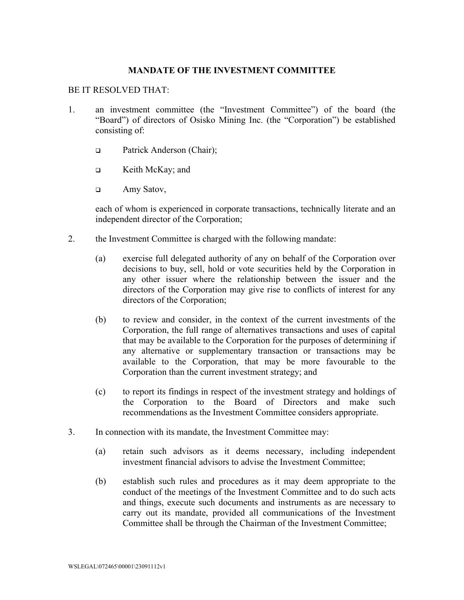## **MANDATE OF THE INVESTMENT COMMITTEE**

## BE IT RESOLVED THAT:

- 1. an investment committee (the "Investment Committee") of the board (the "Board") of directors of Osisko Mining Inc. (the "Corporation") be established consisting of:
	- □ Patrick Anderson (Chair);
	- □ Keith McKay; and
	- □ Amy Satov,

each of whom is experienced in corporate transactions, technically literate and an independent director of the Corporation;

- 2. the Investment Committee is charged with the following mandate:
	- (a) exercise full delegated authority of any on behalf of the Corporation over decisions to buy, sell, hold or vote securities held by the Corporation in any other issuer where the relationship between the issuer and the directors of the Corporation may give rise to conflicts of interest for any directors of the Corporation;
	- (b) to review and consider, in the context of the current investments of the Corporation, the full range of alternatives transactions and uses of capital that may be available to the Corporation for the purposes of determining if any alternative or supplementary transaction or transactions may be available to the Corporation, that may be more favourable to the Corporation than the current investment strategy; and
	- (c) to report its findings in respect of the investment strategy and holdings of the Corporation to the Board of Directors and make such recommendations as the Investment Committee considers appropriate.
- 3. In connection with its mandate, the Investment Committee may:
	- (a) retain such advisors as it deems necessary, including independent investment financial advisors to advise the Investment Committee;
	- (b) establish such rules and procedures as it may deem appropriate to the conduct of the meetings of the Investment Committee and to do such acts and things, execute such documents and instruments as are necessary to carry out its mandate, provided all communications of the Investment Committee shall be through the Chairman of the Investment Committee;